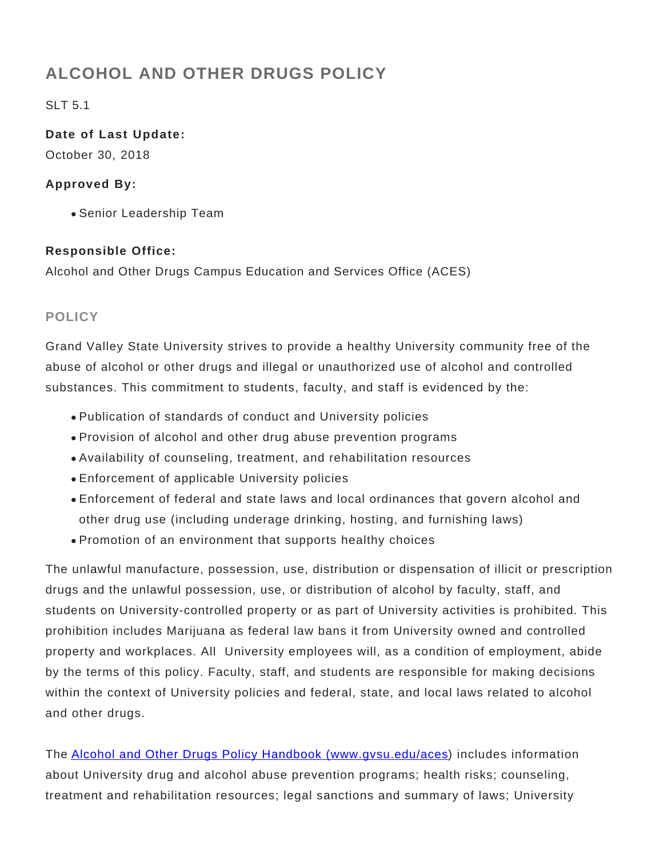# **ALCOHOL AND OTHER DRUGS POLICY**

SLT 5.1

**Date of Last Update:** October 30, 2018

#### **Approved By:**

Senior Leadership Team

#### **Responsible Office:**

Alcohol and Other Drugs Campus Education and Services Office (ACES)

## **POLICY**

Grand Valley State University strives to provide a healthy University community free of the abuse of alcohol or other drugs and illegal or unauthorized use of alcohol and controlled substances. This commitment to students, faculty, and staff is evidenced by the:

- Publication of standards of conduct and University policies
- Provision of alcohol and other drug abuse prevention programs
- Availability of counseling, treatment, and rehabilitation resources
- Enforcement of applicable University policies
- Enforcement of federal and state laws and local ordinances that govern alcohol and other drug use (including underage drinking, hosting, and furnishing laws)
- Promotion of an environment that supports healthy choices

The unlawful manufacture, possession, use, distribution or dispensation of illicit or prescription drugs and the unlawful possession, use, or distribution of alcohol by faculty, staff, and students on University-controlled property or as part of University activities is prohibited. This prohibition includes Marijuana as federal law bans it from University owned and controlled property and workplaces. All University employees will, as a condition of employment, abide by the terms of this policy. Faculty, staff, and students are responsible for making decisions within the context of University policies and federal, state, and local laws related to alcohol and other drugs.

The [Alcohol and Other Drugs Policy Handbook \(www.gvsu.edu/aces](http://www.gvsu.edu/aces/)) includes information about University drug and alcohol abuse prevention programs; health risks; counseling, treatment and rehabilitation resources; legal sanctions and summary of laws; University